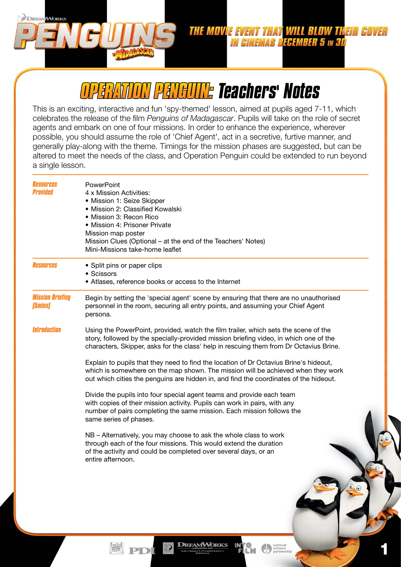*OPERATION PENGUIN: Teachers' Notes*

**DREAL WORKS** 

This is an exciting, interactive and fun 'spy-themed' lesson, aimed at pupils aged 7-11, which celebrates the release of the film *Penguins of Madagascar*. Pupils will take on the role of secret agents and embark on one of four missions. In order to enhance the experience, wherever possible, you should assume the role of 'Chief Agent', act in a secretive, furtive manner, and generally play-along with the theme. Timings for the mission phases are suggested, but can be altered to meet the needs of the class, and Operation Penguin could be extended to run beyond a single lesson.

| Resources<br>Provided                            | PowerPoint<br>4 x Mission Activities:<br>• Mission 1: Seize Skipper<br>· Mission 2: Classified Kowalski<br>· Mission 3: Recon Rico<br>· Mission 4: Prisoner Private<br>Mission map poster<br>Mission Clues (Optional - at the end of the Teachers' Notes)<br>Mini-Missions take-home leaflet |  |  |  |  |  |  |  |  |  |  |
|--------------------------------------------------|----------------------------------------------------------------------------------------------------------------------------------------------------------------------------------------------------------------------------------------------------------------------------------------------|--|--|--|--|--|--|--|--|--|--|
| Resources                                        | • Split pins or paper clips<br>• Scissors<br>• Atlases, reference books or access to the Internet                                                                                                                                                                                            |  |  |  |  |  |  |  |  |  |  |
| <b>Mission Briefing</b><br><i><b>[5mins]</b></i> | Begin by setting the 'special agent' scene by ensuring that there are no unauthorised<br>personnel in the room, securing all entry points, and assuming your Chief Agent<br>persona.                                                                                                         |  |  |  |  |  |  |  |  |  |  |
| <b>Introduction</b>                              | Using the PowerPoint, provided, watch the film trailer, which sets the scene of the<br>story, followed by the specially-provided mission briefing video, in which one of the<br>characters, Skipper, asks for the class' help in rescuing them from Dr Octavius Brine.                       |  |  |  |  |  |  |  |  |  |  |
|                                                  | Explain to pupils that they need to find the location of Dr Octavius Brine's hideout,<br>which is somewhere on the map shown. The mission will be achieved when they work<br>out which cities the penguins are hidden in, and find the coordinates of the hideout.                           |  |  |  |  |  |  |  |  |  |  |
|                                                  | Divide the pupils into four special agent teams and provide each team<br>with copies of their mission activity. Pupils can work in pairs, with any<br>number of pairs completing the same mission. Each mission follows the<br>same series of phases.                                        |  |  |  |  |  |  |  |  |  |  |
|                                                  | NB - Alternatively, you may choose to ask the whole class to work<br>through each of the four missions. This would extend the duration<br>of the activity and could be completed over several days, or an<br>entire afternoon.                                                               |  |  |  |  |  |  |  |  |  |  |
|                                                  |                                                                                                                                                                                                                                                                                              |  |  |  |  |  |  |  |  |  |  |
|                                                  | <b>DREAMWORKS</b><br>national<br>schools<br>partnership                                                                                                                                                                                                                                      |  |  |  |  |  |  |  |  |  |  |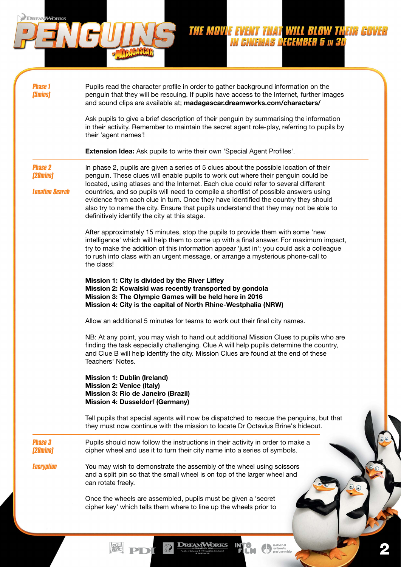Pupils read the character profile in order to gather background information on the penguin that they will be rescuing. If pupils have access to the Internet, further images and sound clips are available at; madagascar.dreamworks.com/characters/

**THE MOVIE EVENT THAT WILL BLOW THEIR COVE IN CINEMAS DECEMBER 5 IN 3D** 

Ask pupils to give a brief description of their penguin by summarising the information in their activity. Remember to maintain the secret agent role-play, referring to pupils by their 'agent names'!

Extension Idea: Ask pupils to write their own 'Special Agent Profiles'.

*Phase 2 (20mins)*

*Location Search*

*Phase 1 (5mins)*

**DREAM** 

**IMORKS** 

In phase 2, pupils are given a series of 5 clues about the possible location of their penguin. These clues will enable pupils to work out where their penguin could be located, using atlases and the Internet. Each clue could refer to several different countries, and so pupils will need to compile a shortlist of possible answers using evidence from each clue in turn. Once they have identified the country they should also try to name the city. Ensure that pupils understand that they may not be able to definitively identify the city at this stage.

After approximately 15 minutes, stop the pupils to provide them with some 'new intelligence' which will help them to come up with a final answer. For maximum impact, try to make the addition of this information appear 'just in'; you could ask a colleague to rush into class with an urgent message, or arrange a mysterious phone-call to the class!

Mission 1: City is divided by the River Liffey Mission 2: Kowalski was recently transported by gondola Mission 3: The Olympic Games will be held here in 2016 Mission 4: City is the capital of North Rhine-Westphalia (NRW)

Allow an additional 5 minutes for teams to work out their final city names.

NB: At any point, you may wish to hand out additional Mission Clues to pupils who are finding the task especially challenging. Clue A will help pupils determine the country, and Clue B will help identify the city. Mission Clues are found at the end of these Teachers' Notes.

Mission 1: Dublin (Ireland) Mission 2: Venice (Italy) Mission 3: Rio de Janeiro (Brazil) Mission 4: Dusseldorf (Germany)

Tell pupils that special agents will now be dispatched to rescue the penguins, but that they must now continue with the mission to locate Dr Octavius Brine's hideout.

2

*Phase 3 (20mins)* Pupils should now follow the instructions in their activity in order to make a cipher wheel and use it to turn their city name into a series of symbols.

*Encryption* You may wish to demonstrate the assembly of the wheel using scissors

and a split pin so that the small wheel is on top of the larger wheel and can rotate freely.

**DREAMWORKS** 

Once the wheels are assembled, pupils must be given a 'secret cipher key' which tells them where to line up the wheels prior to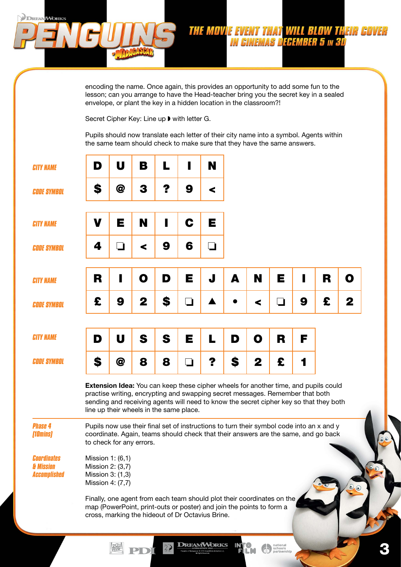encoding the name. Once again, this provides an opportunity to add some fun to the lesson; can you arrange to have the Head-teacher bring you the secret key in a sealed envelope, or plant the key in a hidden location in the classroom?!

**THE MOVIE EVENT THAT WILL BLOW THEIR COVER**<br>IN CINEMAS DECEMBER 5 in 3D

Secret Cipher Key: Line up ▶ with letter G.

**DREAMWORKS** 

Pupils should now translate each letter of their city name into a symbol. Agents within the same team should check to make sure that they have the same answers.

| <b>CITY NAME</b>                                       | D                                                                                                                                                                                                                                                                                                                | U   | В | L  | ı | N |    |   |   |   |   |   |  |
|--------------------------------------------------------|------------------------------------------------------------------------------------------------------------------------------------------------------------------------------------------------------------------------------------------------------------------------------------------------------------------|-----|---|----|---|---|----|---|---|---|---|---|--|
| <b>CODE SYMBOL</b>                                     | \$                                                                                                                                                                                                                                                                                                               | @   | 3 | ?  | 9 | ≺ |    |   |   |   |   |   |  |
| <b>CITY NAME</b>                                       | V                                                                                                                                                                                                                                                                                                                | Е   | N | ı  | C | Е |    |   |   |   |   |   |  |
| <b>CODE SYMBOL</b>                                     | 4                                                                                                                                                                                                                                                                                                                | . I | ≺ | 9  | 6 | ┓ |    |   |   |   |   |   |  |
| <b>CITY NAME</b>                                       | R                                                                                                                                                                                                                                                                                                                |     | O | D  | Е | J | A  | N | E |   | R | O |  |
| <b>CODE SYMBOL</b>                                     | £                                                                                                                                                                                                                                                                                                                | 9   | 2 | \$ | ❏ |   |    | ≺ | ⊐ | 9 | £ | 2 |  |
| <b>CITY NAME</b>                                       | D                                                                                                                                                                                                                                                                                                                | U   | S | S  | Е | L | D  | O | R | F |   |   |  |
| <b>CODE SYMBOL</b>                                     | S                                                                                                                                                                                                                                                                                                                | @   | 8 | 8  | ┓ | ? | \$ | 2 | £ |   |   |   |  |
|                                                        | <b>Extension Idea:</b> You can keep these cipher wheels for another time, and pupils could<br>practise writing, encrypting and swapping secret messages. Remember that both<br>sending and receiving agents will need to know the secret cipher key so that they both<br>line up their wheels in the same place. |     |   |    |   |   |    |   |   |   |   |   |  |
| <b>Phase 4</b><br>[10mins]                             | Pupils now use their final set of instructions to turn their symbol code into an x and y<br>coordinate. Again, teams should check that their answers are the same, and go back<br>to check for any errors.                                                                                                       |     |   |    |   |   |    |   |   |   |   |   |  |
| <b>Coordinates</b><br>& Mission<br><b>Accomplished</b> | Mission 1: (6,1)<br>Mission 2: (3,7)<br>Mission 3: (1,3)<br>Mission 4: (7,7)                                                                                                                                                                                                                                     |     |   |    |   |   |    |   |   |   |   |   |  |
|                                                        | Finally, one agent from each team should plot their coordinates on the<br>map (PowerPoint, print-outs or poster) and join the points to form a<br>cross, marking the hideout of Dr Octavius Brine.                                                                                                               |     |   |    |   |   |    |   |   |   |   |   |  |

**DREAMWORKS** 

 $\overline{2\mathbf{Q}}$ 

PD

IN'

**CM O** pational

3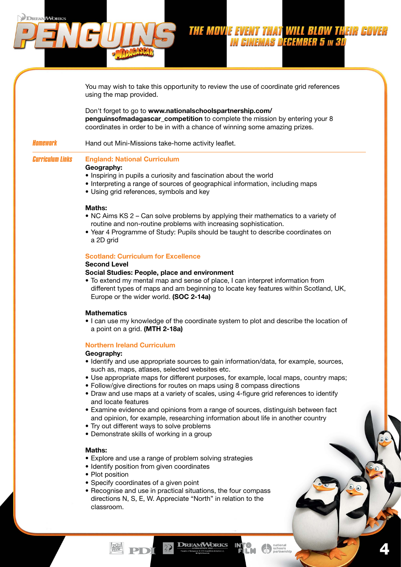THE MOVIE EVENT THAT WILL BLOW THEIR CO. **IN CINEMAS DECEMBER 5 IN 3D** 

4

*Homework Curriculum Links* using the map provided. Don't forget to go to www.nationalschoolspartnership.com/ **penguinsofmadagascar\_competition** to complete the mission by entering your 8 coordinates in order to be in with a chance of winning some amazing prizes. Hand out Mini-Missions take-home activity leaflet. England: National Curriculum Geography: • Inspiring in pupils a curiosity and fascination about the world • Interpreting a range of sources of geographical information, including maps • Using grid references, symbols and key Maths: • NC Aims KS 2 – Can solve problems by applying their mathematics to a variety of routine and non-routine problems with increasing sophistication. • Year 4 Programme of Study: Pupils should be taught to describe coordinates on a 2D grid

You may wish to take this opportunity to review the use of coordinate grid references

# Scotland: Curriculum for Excellence

# Second Level

**DREAMWORKS** 

#### Social Studies: People, place and environment

• To extend my mental map and sense of place, I can interpret information from different types of maps and am beginning to locate key features within Scotland, UK, Europe or the wider world. (SOC 2-14a)

#### **Mathematics**

• I can use my knowledge of the coordinate system to plot and describe the location of a point on a grid. (MTH 2-18a)

#### Northern Ireland Curriculum

#### Geography:

- Identify and use appropriate sources to gain information/data, for example, sources, such as, maps, atlases, selected websites etc.
- Use appropriate maps for different purposes, for example, local maps, country maps;
- Follow/give directions for routes on maps using 8 compass directions
- Draw and use maps at a variety of scales, using 4-figure grid references to identify and locate features
- Examine evidence and opinions from a range of sources, distinguish between fact and opinion, for example, researching information about life in another country
- Try out different ways to solve problems
- Demonstrate skills of working in a group

#### Maths:

- Explore and use a range of problem solving strategies
- Identify position from given coordinates
- Plot position
- Specify coordinates of a given point
- Recognise and use in practical situations, the four compass directions N, S, E, W. Appreciate "North" in relation to the classroom.

**DREAMWORKS**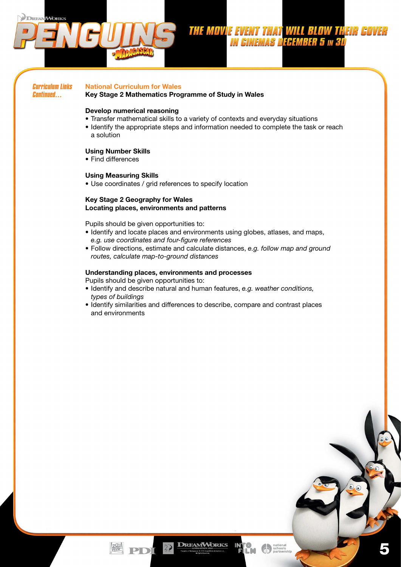

5

*Curriculum Links Continued…*

### National Curriculum for Wales

Key Stage 2 Mathematics Programme of Study in Wales

### Develop numerical reasoning

- Transfer mathematical skills to a variety of contexts and everyday situations
- Identify the appropriate steps and information needed to complete the task or reach a solution

# Using Number Skills

• Find differences

### Using Measuring Skills

• Use coordinates / grid references to specify location

### Key Stage 2 Geography for Wales Locating places, environments and patterns

Pupils should be given opportunities to:

- Identify and locate places and environments using globes, atlases, and maps, *e.g. use coordinates and four-figure references*
- Follow directions, estimate and calculate distances, *e.g. follow map and ground routes, calculate map-to-ground distances*

### Understanding places, environments and processes

- Pupils should be given opportunities to:
- Identify and describe natural and human features, *e.g. weather conditions, types of buildings*
- Identify similarities and differences to describe, compare and contrast places and environments

**DREAMWORKS** 

 $\sqrt{2}$ 

PD